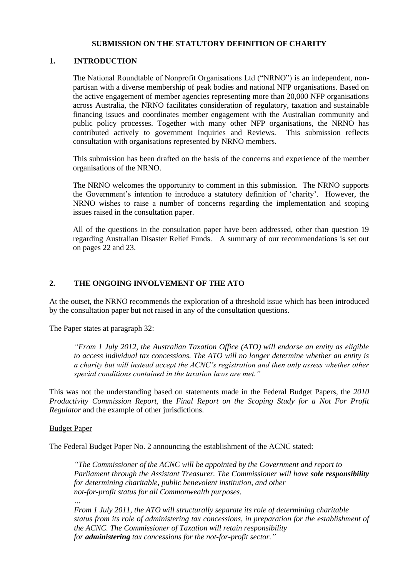### **SUBMISSION ON THE STATUTORY DEFINITION OF CHARITY**

### **1. INTRODUCTION**

The National Roundtable of Nonprofit Organisations Ltd ("NRNO") is an independent, nonpartisan with a diverse membership of peak bodies and national NFP organisations. Based on the active engagement of member agencies representing more than 20,000 NFP organisations across Australia, the NRNO facilitates consideration of regulatory, taxation and sustainable financing issues and coordinates member engagement with the Australian community and public policy processes. Together with many other NFP organisations, the NRNO has contributed actively to government Inquiries and Reviews. This submission reflects consultation with organisations represented by NRNO members.

This submission has been drafted on the basis of the concerns and experience of the member organisations of the NRNO.

The NRNO welcomes the opportunity to comment in this submission. The NRNO supports the Government's intention to introduce a statutory definition of 'charity'. However, the NRNO wishes to raise a number of concerns regarding the implementation and scoping issues raised in the consultation paper.

All of the questions in the consultation paper have been addressed, other than question 19 regarding Australian Disaster Relief Funds. A summary of our recommendations is set out on pages 22 and 23.

### **2. THE ONGOING INVOLVEMENT OF THE ATO**

At the outset, the NRNO recommends the exploration of a threshold issue which has been introduced by the consultation paper but not raised in any of the consultation questions.

The Paper states at paragraph 32:

*"From 1 July 2012, the Australian Taxation Office (ATO) will endorse an entity as eligible to access individual tax concessions. The ATO will no longer determine whether an entity is a charity but will instead accept the ACNC's registration and then only assess whether other special conditions contained in the taxation laws are met."* 

This was not the understanding based on statements made in the Federal Budget Papers, the *2010 Productivity Commission Report,* the *Final Report on the Scoping Study for a Not For Profit Regulator* and the example of other jurisdictions.

#### Budget Paper

The Federal Budget Paper No. 2 announcing the establishment of the ACNC stated:

*"The Commissioner of the ACNC will be appointed by the Government and report to Parliament through the Assistant Treasurer. The Commissioner will have sole responsibility for determining charitable, public benevolent institution, and other not-for-profit status for all Commonwealth purposes.*

*… From 1 July 2011, the ATO will structurally separate its role of determining charitable status from its role of administering tax concessions, in preparation for the establishment of the ACNC. The Commissioner of Taxation will retain responsibility for administering tax concessions for the not-for-profit sector."*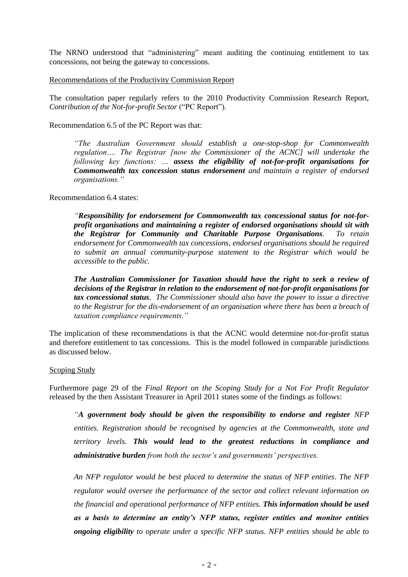The NRNO understood that "administering" meant auditing the continuing entitlement to tax concessions, not being the gateway to concessions.

Recommendations of the Productivity Commission Report

The consultation paper regularly refers to the 2010 Productivity Commission Research Report, *Contribution of the Not-for-profit Sector* ("PC Report").

Recommendation 6.5 of the PC Report was that:

*"The Australian Government should establish a one-stop-shop for Commonwealth regulation…. The Registrar [now the Commissioner of the ACNC] will undertake the following key functions: … assess the eligibility of not-for-profit organisations for Commonwealth tax concession status endorsement and maintain a register of endorsed organisations."*

Recommendation 6.4 states:

*"Responsibility for endorsement for Commonwealth tax concessional status for not-forprofit organisations and maintaining a register of endorsed organisations should sit with the Registrar for Community and Charitable Purpose Organisations. To retain endorsement for Commonwealth tax concessions, endorsed organisations should be required to submit an annual community-purpose statement to the Registrar which would be accessible to the public.* 

*The Australian Commissioner for Taxation should have the right to seek a review of decisions of the Registrar in relation to the endorsement of not-for-profit organisations for tax concessional status. The Commissioner should also have the power to issue a directive to the Registrar for the dis-endorsement of an organisation where there has been a breach of taxation compliance requirements."* 

The implication of these recommendations is that the ACNC would determine not-for-profit status and therefore entitlement to tax concessions. This is the model followed in comparable jurisdictions as discussed below.

#### Scoping Study

Furthermore page 29 of the *Final Report on the Scoping Study for a Not For Profit Regulator*  released by the then Assistant Treasurer in April 2011 states some of the findings as follows:

*"A government body should be given the responsibility to endorse and register NFP entities. Registration should be recognised by agencies at the Commonwealth, state and territory levels. This would lead to the greatest reductions in compliance and administrative burden from both the sector's and governments' perspectives.* 

*An NFP regulator would be best placed to determine the status of NFP entities. The NFP regulator would oversee the performance of the sector and collect relevant information on the financial and operational performance of NFP entities. This information should be used as a basis to determine an entity's NFP status, register entities and monitor entities ongoing eligibility to operate under a specific NFP status. NFP entities should be able to*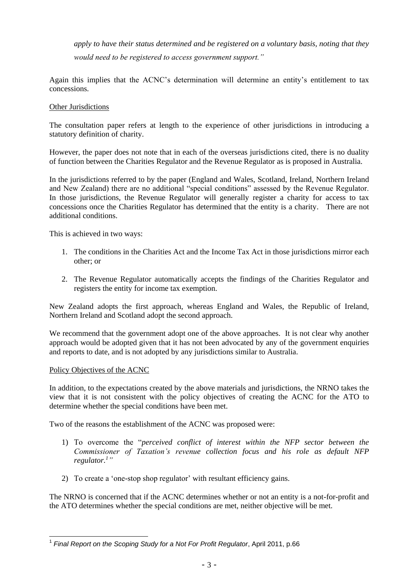*apply to have their status determined and be registered on a voluntary basis, noting that they would need to be registered to access government support."* 

Again this implies that the ACNC's determination will determine an entity's entitlement to tax concessions.

### Other Jurisdictions

The consultation paper refers at length to the experience of other jurisdictions in introducing a statutory definition of charity.

However, the paper does not note that in each of the overseas jurisdictions cited, there is no duality of function between the Charities Regulator and the Revenue Regulator as is proposed in Australia.

In the jurisdictions referred to by the paper (England and Wales, Scotland, Ireland, Northern Ireland and New Zealand) there are no additional "special conditions" assessed by the Revenue Regulator. In those jurisdictions, the Revenue Regulator will generally register a charity for access to tax concessions once the Charities Regulator has determined that the entity is a charity. There are not additional conditions.

This is achieved in two ways:

- 1. The conditions in the Charities Act and the Income Tax Act in those jurisdictions mirror each other; or
- 2. The Revenue Regulator automatically accepts the findings of the Charities Regulator and registers the entity for income tax exemption.

New Zealand adopts the first approach, whereas England and Wales, the Republic of Ireland, Northern Ireland and Scotland adopt the second approach.

We recommend that the government adopt one of the above approaches. It is not clear why another approach would be adopted given that it has not been advocated by any of the government enquiries and reports to date, and is not adopted by any jurisdictions similar to Australia.

#### Policy Objectives of the ACNC

In addition, to the expectations created by the above materials and jurisdictions, the NRNO takes the view that it is not consistent with the policy objectives of creating the ACNC for the ATO to determine whether the special conditions have been met.

Two of the reasons the establishment of the ACNC was proposed were:

- 1) To overcome the "*perceived conflict of interest within the NFP sector between the Commissioner of Taxation's revenue collection focus and his role as default NFP regulator.<sup>1</sup> "*
- 2) To create a 'one-stop shop regulator' with resultant efficiency gains.

The NRNO is concerned that if the ACNC determines whether or not an entity is a not-for-profit and the ATO determines whether the special conditions are met, neither objective will be met.

 1 *Final Report on the Scoping Study for a Not For Profit Regulator*, April 2011, p.66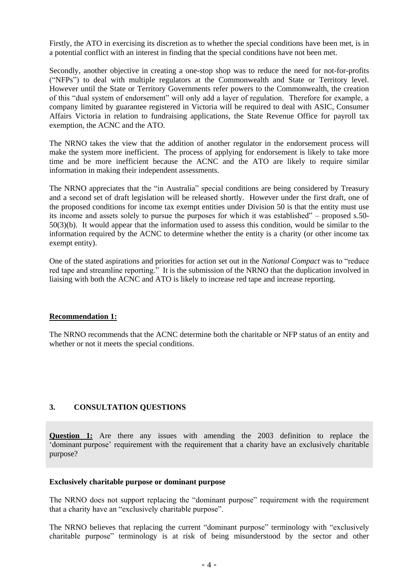Firstly, the ATO in exercising its discretion as to whether the special conditions have been met, is in a potential conflict with an interest in finding that the special conditions have not been met.

Secondly, another objective in creating a one-stop shop was to reduce the need for not-for-profits ("NFPs") to deal with multiple regulators at the Commonwealth and State or Territory level. However until the State or Territory Governments refer powers to the Commonwealth, the creation of this "dual system of endorsement" will only add a layer of regulation. Therefore for example, a company limited by guarantee registered in Victoria will be required to deal with ASIC, Consumer Affairs Victoria in relation to fundraising applications, the State Revenue Office for payroll tax exemption, the ACNC and the ATO.

The NRNO takes the view that the addition of another regulator in the endorsement process will make the system more inefficient. The process of applying for endorsement is likely to take more time and be more inefficient because the ACNC and the ATO are likely to require similar information in making their independent assessments.

The NRNO appreciates that the "in Australia" special conditions are being considered by Treasury and a second set of draft legislation will be released shortly. However under the first draft, one of the proposed conditions for income tax exempt entities under Division 50 is that the entity must use its income and assets solely to pursue the purposes for which it was established" – proposed s.50- 50(3)(b). It would appear that the information used to assess this condition, would be similar to the information required by the ACNC to determine whether the entity is a charity (or other income tax exempt entity).

One of the stated aspirations and priorities for action set out in the *National Compact* was to "reduce red tape and streamline reporting." It is the submission of the NRNO that the duplication involved in liaising with both the ACNC and ATO is likely to increase red tape and increase reporting.

## **Recommendation 1:**

The NRNO recommends that the ACNC determine both the charitable or NFP status of an entity and whether or not it meets the special conditions.

## **3. CONSULTATION QUESTIONS**

**Question 1:** Are there any issues with amending the 2003 definition to replace the 'dominant purpose' requirement with the requirement that a charity have an exclusively charitable purpose?

#### **Exclusively charitable purpose or dominant purpose**

The NRNO does not support replacing the "dominant purpose" requirement with the requirement that a charity have an "exclusively charitable purpose".

The NRNO believes that replacing the current "dominant purpose" terminology with "exclusively charitable purpose" terminology is at risk of being misunderstood by the sector and other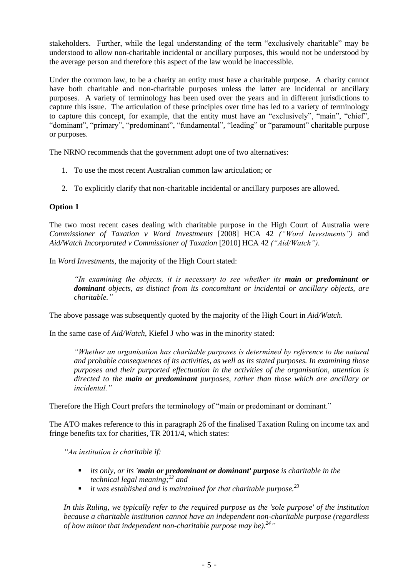stakeholders. Further, while the legal understanding of the term "exclusively charitable" may be understood to allow non-charitable incidental or ancillary purposes, this would not be understood by the average person and therefore this aspect of the law would be inaccessible.

Under the common law, to be a charity an entity must have a charitable purpose. A charity cannot have both charitable and non-charitable purposes unless the latter are incidental or ancillary purposes. A variety of terminology has been used over the years and in different jurisdictions to capture this issue. The articulation of these principles over time has led to a variety of terminology to capture this concept, for example, that the entity must have an "exclusively", "main", "chief", "dominant", "primary", "predominant", "fundamental", "leading" or "paramount" charitable purpose or purposes.

The NRNO recommends that the government adopt one of two alternatives:

- 1. To use the most recent Australian common law articulation; or
- 2. To explicitly clarify that non-charitable incidental or ancillary purposes are allowed.

### **Option 1**

The two most recent cases dealing with charitable purpose in the High Court of Australia were *Commissioner of Taxation v Word Investments* [2008] HCA 42 *("Word Investments")* and *Aid/Watch Incorporated v Commissioner of Taxation* [2010] HCA 42 *("Aid/Watch")*.

In *Word Investments,* the majority of the High Court stated:

*"In examining the objects, it is necessary to see whether its main or predominant or dominant objects, as distinct from its concomitant or incidental or ancillary objects, are charitable."*

The above passage was subsequently quoted by the majority of the High Court in *Aid/Watch*.

In the same case of *Aid/Watch*, Kiefel J who was in the minority stated:

*"Whether an organisation has charitable purposes is determined by reference to the natural and probable consequences of its activities, as well as its stated purposes. In examining those purposes and their purported effectuation in the activities of the organisation, attention is directed to the main or predominant purposes, rather than those which are ancillary or incidental."*

Therefore the High Court prefers the terminology of "main or predominant or dominant."

The ATO makes reference to this in paragraph 26 of the finalised Taxation Ruling on income tax and fringe benefits tax for charities, TR 2011/4, which states:

*"An institution is charitable if:* 

- *its only, or its 'main or predominant or dominant' purpose is charitable in the technical legal meaning;[22](http://law.ato.gov.au/atolaw/view.htm?locid=) and*
- *it was established and is maintained for that charitable purpose.[23](http://law.ato.gov.au/atolaw/view.htm?locid=)*

*In this Ruling, we typically refer to the required purpose as the 'sole purpose' of the institution because a charitable institution cannot have an independent non-charitable purpose (regardless of how minor that independent non-charitable purpose may be).[24](http://law.ato.gov.au/atolaw/view.htm?locid=) "*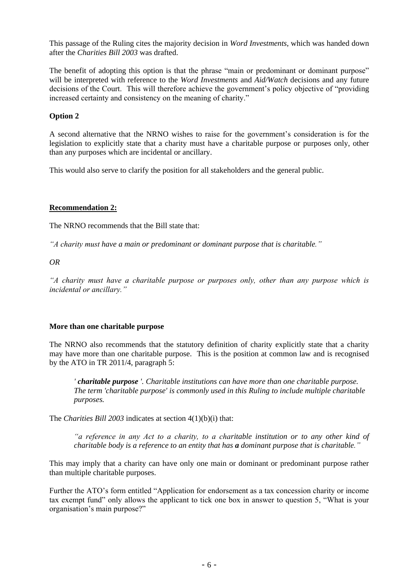This passage of the Ruling cites the majority decision in *Word Investments*, which was handed down after the *Charities Bill 2003* was drafted.

The benefit of adopting this option is that the phrase "main or predominant or dominant purpose" will be interpreted with reference to the *Word Investments* and *Aid/Watch* decisions and any future decisions of the Court. This will therefore achieve the government's policy objective of "providing increased certainty and consistency on the meaning of charity."

# **Option 2**

A second alternative that the NRNO wishes to raise for the government's consideration is for the legislation to explicitly state that a charity must have a charitable purpose or purposes only, other than any purposes which are incidental or ancillary.

This would also serve to clarify the position for all stakeholders and the general public.

# **Recommendation 2:**

The NRNO recommends that the Bill state that:

*"A charity must have a main or predominant or dominant purpose that is charitable."* 

*OR*

*"A charity must have a charitable purpose or purposes only, other than any purpose which is incidental or ancillary."*

## **More than one charitable purpose**

The NRNO also recommends that the statutory definition of charity explicitly state that a charity may have more than one charitable purpose. This is the position at common law and is recognised by the ATO in TR 2011/4, paragraph 5:

*' charitable purpose '. Charitable institutions can have more than one charitable purpose. The term 'charitable purpose' is commonly used in this Ruling to include multiple charitable purposes.*

The *Charities Bill 2003* indicates at section 4(1)(b)(i) that:

*"a reference in any Act to a charity, to a charitable institution or to any other kind of charitable body is a reference to an entity that has a dominant purpose that is charitable."* 

This may imply that a charity can have only one main or dominant or predominant purpose rather than multiple charitable purposes.

Further the ATO's form entitled "Application for endorsement as a tax concession charity or income tax exempt fund" only allows the applicant to tick one box in answer to question 5, "What is your organisation's main purpose?"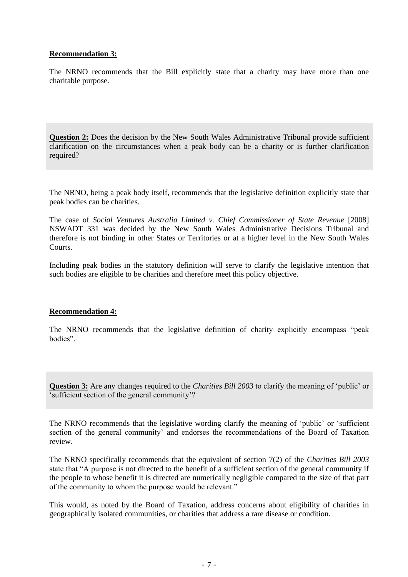## **Recommendation 3:**

The NRNO recommends that the Bill explicitly state that a charity may have more than one charitable purpose.

**Question 2:** Does the decision by the New South Wales Administrative Tribunal provide sufficient clarification on the circumstances when a peak body can be a charity or is further clarification required?

The NRNO, being a peak body itself, recommends that the legislative definition explicitly state that peak bodies can be charities.

The case of *Social Ventures Australia Limited v. Chief Commissioner of State Revenue* [2008] NSWADT 331 was decided by the New South Wales Administrative Decisions Tribunal and therefore is not binding in other States or Territories or at a higher level in the New South Wales Courts.

Including peak bodies in the statutory definition will serve to clarify the legislative intention that such bodies are eligible to be charities and therefore meet this policy objective.

## **Recommendation 4:**

The NRNO recommends that the legislative definition of charity explicitly encompass "peak bodies".

**Question 3:** Are any changes required to the *Charities Bill 2003* to clarify the meaning of 'public' or 'sufficient section of the general community'?

The NRNO recommends that the legislative wording clarify the meaning of 'public' or 'sufficient section of the general community' and endorses the recommendations of the Board of Taxation review.

The NRNO specifically recommends that the equivalent of section 7(2) of the *Charities Bill 2003*  state that "A purpose is not directed to the benefit of a sufficient section of the general community if the people to whose benefit it is directed are numerically negligible compared to the size of that part of the community to whom the purpose would be relevant."

This would, as noted by the Board of Taxation, address concerns about eligibility of charities in geographically isolated communities, or charities that address a rare disease or condition.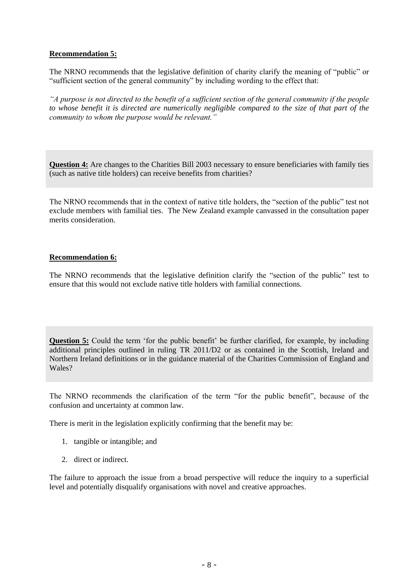## **Recommendation 5:**

The NRNO recommends that the legislative definition of charity clarify the meaning of "public" or "sufficient section of the general community" by including wording to the effect that:

*"A purpose is not directed to the benefit of a sufficient section of the general community if the people to whose benefit it is directed are numerically negligible compared to the size of that part of the community to whom the purpose would be relevant."*

**Question 4:** Are changes to the Charities Bill 2003 necessary to ensure beneficiaries with family ties (such as native title holders) can receive benefits from charities?

The NRNO recommends that in the context of native title holders, the "section of the public" test not exclude members with familial ties. The New Zealand example canvassed in the consultation paper merits consideration.

## **Recommendation 6:**

The NRNO recommends that the legislative definition clarify the "section of the public" test to ensure that this would not exclude native title holders with familial connections.

**Question 5:** Could the term 'for the public benefit' be further clarified, for example, by including additional principles outlined in ruling TR 2011/D2 or as contained in the Scottish, Ireland and Northern Ireland definitions or in the guidance material of the Charities Commission of England and Wales?

The NRNO recommends the clarification of the term "for the public benefit", because of the confusion and uncertainty at common law.

There is merit in the legislation explicitly confirming that the benefit may be:

- 1. tangible or intangible; and
- 2. direct or indirect.

The failure to approach the issue from a broad perspective will reduce the inquiry to a superficial level and potentially disqualify organisations with novel and creative approaches.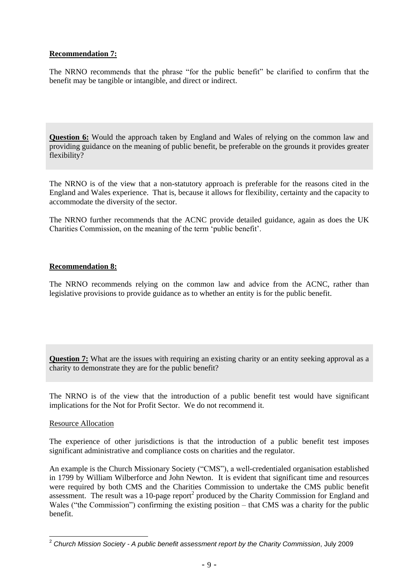## **Recommendation 7:**

The NRNO recommends that the phrase "for the public benefit" be clarified to confirm that the benefit may be tangible or intangible, and direct or indirect.

**Question 6:** Would the approach taken by England and Wales of relying on the common law and providing guidance on the meaning of public benefit, be preferable on the grounds it provides greater flexibility?

The NRNO is of the view that a non-statutory approach is preferable for the reasons cited in the England and Wales experience. That is, because it allows for flexibility, certainty and the capacity to accommodate the diversity of the sector.

The NRNO further recommends that the ACNC provide detailed guidance, again as does the UK Charities Commission, on the meaning of the term 'public benefit'.

## **Recommendation 8:**

The NRNO recommends relying on the common law and advice from the ACNC, rather than legislative provisions to provide guidance as to whether an entity is for the public benefit.

**Question 7:** What are the issues with requiring an existing charity or an entity seeking approval as a charity to demonstrate they are for the public benefit?

The NRNO is of the view that the introduction of a public benefit test would have significant implications for the Not for Profit Sector. We do not recommend it.

## Resource Allocation

 $\overline{a}$ 

The experience of other jurisdictions is that the introduction of a public benefit test imposes significant administrative and compliance costs on charities and the regulator.

An example is the Church Missionary Society ("CMS"), a well-credentialed organisation established in 1799 by William Wilberforce and John Newton. It is evident that significant time and resources were required by both CMS and the Charities Commission to undertake the CMS public benefit assessment. The result was a 10-page report<sup>2</sup> produced by the Charity Commission for England and Wales ("the Commission") confirming the existing position – that CMS was a charity for the public benefit.

<sup>2</sup> *Church Mission Society - A public benefit assessment report by the Charity Commission*, July 2009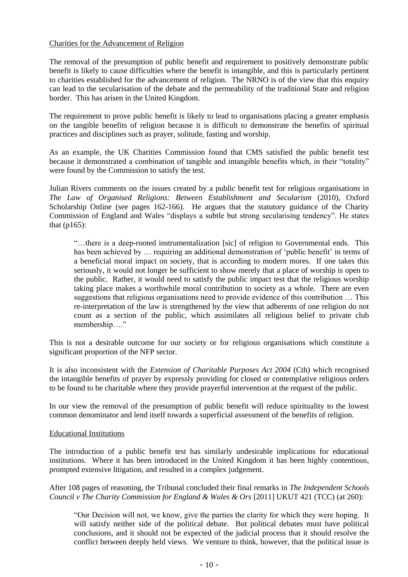### Charities for the Advancement of Religion

The removal of the presumption of public benefit and requirement to positively demonstrate public benefit is likely to cause difficulties where the benefit is intangible, and this is particularly pertinent to charities established for the advancement of religion. The NRNO is of the view that this enquiry can lead to the secularisation of the debate and the permeability of the traditional State and religion border. This has arisen in the United Kingdom.

The requirement to prove public benefit is likely to lead to organisations placing a greater emphasis on the tangible benefits of religion because it is difficult to demonstrate the benefits of spiritual practices and disciplines such as prayer, solitude, fasting and worship.

As an example, the UK Charities Commission found that CMS satisfied the public benefit test because it demonstrated a combination of tangible and intangible benefits which, in their "totality" were found by the Commission to satisfy the test.

Julian Rivers comments on the issues created by a public benefit test for religious organisations in *The Law of Organised Religions: Between Establishment and Secularism* (2010), Oxford Scholarship Online (see pages 162-166). He argues that the statutory guidance of the Charity Commission of England and Wales "displays a subtle but strong secularising tendency". He states that (p165):

"…there is a deep-rooted instrumentalization [sic] of religion to Governmental ends. This has been achieved by ... requiring an additional demonstration of 'public benefit' in terms of a beneficial moral impact on society, that is according to modern mores. If one takes this seriously, it would not longer be sufficient to show merely that a place of worship is open to the public. Rather, it would need to satisfy the public impact test that the religious worship taking place makes a worthwhile moral contribution to society as a whole. There are even suggestions that religious organisations need to provide evidence of this contribution … This re-interpretation of the law is strengthened by the view that adherents of one religion do not count as a section of the public, which assimilates all religious belief to private club membership…."

This is not a desirable outcome for our society or for religious organisations which constitute a significant proportion of the NFP sector.

It is also inconsistent with the *Extension of Charitable Purposes Act 2004* (Cth) which recognised the intangible benefits of prayer by expressly providing for closed or contemplative religious orders to be found to be charitable where they provide prayerful intervention at the request of the public.

In our view the removal of the presumption of public benefit will reduce spirituality to the lowest common denominator and lend itself towards a superficial assessment of the benefits of religion.

#### Educational Institutions

The introduction of a public benefit test has similarly undesirable implications for educational institutions. Where it has been introduced in the United Kingdom it has been highly contentious, prompted extensive litigation, and resulted in a complex judgement.

After 108 pages of reasoning, the Tribunal concluded their final remarks in *The Independent Schools Council v The Charity Commission for England & Wales & Ors* [2011] UKUT 421 (TCC) (at 260):

"Our Decision will not, we know, give the parties the clarity for which they were hoping. It will satisfy neither side of the political debate. But political debates must have political conclusions, and it should not be expected of the judicial process that it should resolve the conflict between deeply held views. We venture to think, however, that the political issue is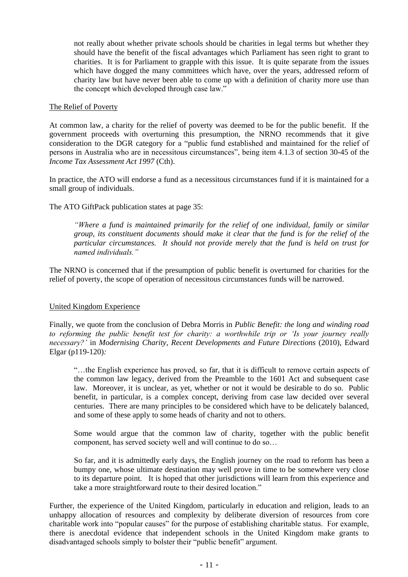not really about whether private schools should be charities in legal terms but whether they should have the benefit of the fiscal advantages which Parliament has seen right to grant to charities. It is for Parliament to grapple with this issue. It is quite separate from the issues which have dogged the many committees which have, over the years, addressed reform of charity law but have never been able to come up with a definition of charity more use than the concept which developed through case law."

### The Relief of Poverty

At common law, a charity for the relief of poverty was deemed to be for the public benefit. If the government proceeds with overturning this presumption, the NRNO recommends that it give consideration to the DGR category for a "public fund established and maintained for the relief of persons in Australia who are in necessitous circumstances", being item 4.1.3 of section 30-45 of the *Income Tax Assessment Act 1997* (Cth).

In practice, the ATO will endorse a fund as a necessitous circumstances fund if it is maintained for a small group of individuals.

## The ATO GiftPack publication states at page 35:

*"Where a fund is maintained primarily for the relief of one individual, family or similar group, its constituent documents should make it clear that the fund is for the relief of the particular circumstances. It should not provide merely that the fund is held on trust for named individuals."* 

The NRNO is concerned that if the presumption of public benefit is overturned for charities for the relief of poverty, the scope of operation of necessitous circumstances funds will be narrowed.

## United Kingdom Experience

Finally, we quote from the conclusion of Debra Morris in *Public Benefit: the long and winding road to reforming the public benefit test for charity: a worthwhile trip or 'Is your journey really necessary?'* in *Modernising Charity, Recent Developments and Future Directions* (2010), Edward Elgar (p119-120)*:*

"…the English experience has proved, so far, that it is difficult to remove certain aspects of the common law legacy, derived from the Preamble to the 1601 Act and subsequent case law. Moreover, it is unclear, as yet, whether or not it would be desirable to do so. Public benefit, in particular, is a complex concept, deriving from case law decided over several centuries. There are many principles to be considered which have to be delicately balanced, and some of these apply to some heads of charity and not to others.

Some would argue that the common law of charity, together with the public benefit component, has served society well and will continue to do so…

So far, and it is admittedly early days, the English journey on the road to reform has been a bumpy one, whose ultimate destination may well prove in time to be somewhere very close to its departure point. It is hoped that other jurisdictions will learn from this experience and take a more straightforward route to their desired location."

Further, the experience of the United Kingdom, particularly in education and religion, leads to an unhappy allocation of resources and complexity by deliberate diversion of resources from core charitable work into "popular causes" for the purpose of establishing charitable status. For example, there is anecdotal evidence that independent schools in the United Kingdom make grants to disadvantaged schools simply to bolster their "public benefit" argument.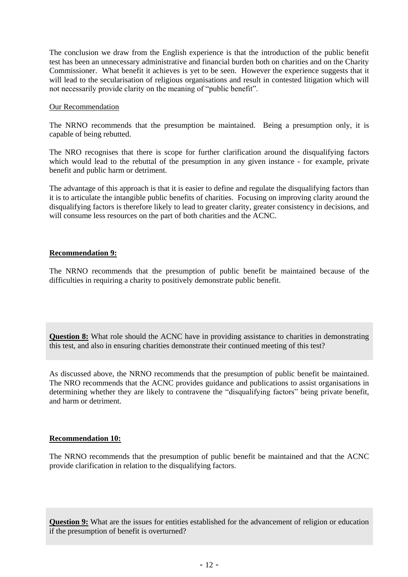The conclusion we draw from the English experience is that the introduction of the public benefit test has been an unnecessary administrative and financial burden both on charities and on the Charity Commissioner. What benefit it achieves is yet to be seen. However the experience suggests that it will lead to the secularisation of religious organisations and result in contested litigation which will not necessarily provide clarity on the meaning of "public benefit".

### Our Recommendation

The NRNO recommends that the presumption be maintained. Being a presumption only, it is capable of being rebutted.

The NRO recognises that there is scope for further clarification around the disqualifying factors which would lead to the rebuttal of the presumption in any given instance - for example, private benefit and public harm or detriment.

The advantage of this approach is that it is easier to define and regulate the disqualifying factors than it is to articulate the intangible public benefits of charities. Focusing on improving clarity around the disqualifying factors is therefore likely to lead to greater clarity, greater consistency in decisions, and will consume less resources on the part of both charities and the ACNC.

## **Recommendation 9:**

The NRNO recommends that the presumption of public benefit be maintained because of the difficulties in requiring a charity to positively demonstrate public benefit.

**Question 8:** What role should the ACNC have in providing assistance to charities in demonstrating this test, and also in ensuring charities demonstrate their continued meeting of this test?

As discussed above, the NRNO recommends that the presumption of public benefit be maintained. The NRO recommends that the ACNC provides guidance and publications to assist organisations in determining whether they are likely to contravene the "disqualifying factors" being private benefit, and harm or detriment.

## **Recommendation 10:**

The NRNO recommends that the presumption of public benefit be maintained and that the ACNC provide clarification in relation to the disqualifying factors.

**Question 9:** What are the issues for entities established for the advancement of religion or education if the presumption of benefit is overturned?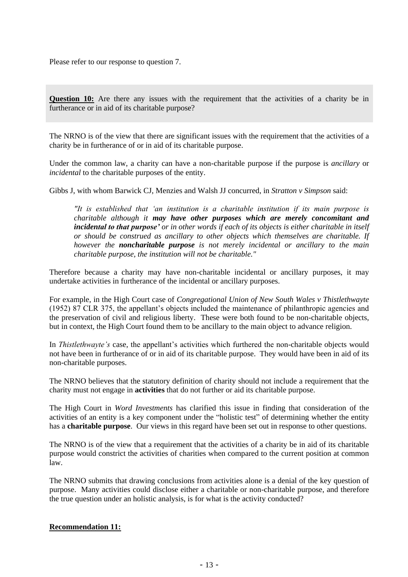Please refer to our response to question 7.

**Question 10:** Are there any issues with the requirement that the activities of a charity be in furtherance or in aid of its charitable purpose?

The NRNO is of the view that there are significant issues with the requirement that the activities of a charity be in furtherance of or in aid of its charitable purpose.

Under the common law, a charity can have a non-charitable purpose if the purpose is *ancillary* or *incidental* to the charitable purposes of the entity.

Gibbs J, with whom Barwick CJ, Menzies and Walsh JJ concurred, in *Stratton v Simpson* said:

*"It is established that 'an institution is a charitable institution if its main purpose is charitable although it may have other purposes which are merely concomitant and incidental to that purpose' or in other words if each of its objects is either charitable in itself or should be construed as ancillary to other objects which themselves are charitable. If however the noncharitable purpose is not merely incidental or ancillary to the main charitable purpose, the institution will not be charitable."*

Therefore because a charity may have non-charitable incidental or ancillary purposes, it may undertake activities in furtherance of the incidental or ancillary purposes.

For example, in the High Court case of *Congregational Union of New South Wales v Thistlethwayte* (1952) 87 CLR 375, the appellant's objects included the maintenance of philanthropic agencies and the preservation of civil and religious liberty. These were both found to be non-charitable objects, but in context, the High Court found them to be ancillary to the main object to advance religion.

In *Thistlethwayte's* case, the appellant's activities which furthered the non-charitable objects would not have been in furtherance of or in aid of its charitable purpose. They would have been in aid of its non-charitable purposes.

The NRNO believes that the statutory definition of charity should not include a requirement that the charity must not engage in **activities** that do not further or aid its charitable purpose.

The High Court in *Word Investments* has clarified this issue in finding that consideration of the activities of an entity is a key component under the "holistic test" of determining whether the entity has a **charitable purpose**. Our views in this regard have been set out in response to other questions.

The NRNO is of the view that a requirement that the activities of a charity be in aid of its charitable purpose would constrict the activities of charities when compared to the current position at common law.

The NRNO submits that drawing conclusions from activities alone is a denial of the key question of purpose. Many activities could disclose either a charitable or non-charitable purpose, and therefore the true question under an holistic analysis, is for what is the activity conducted?

# **Recommendation 11:**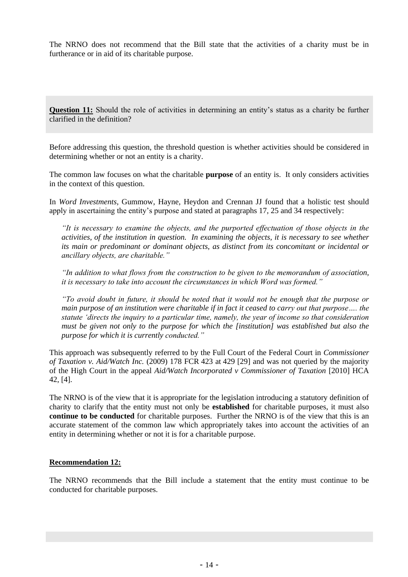The NRNO does not recommend that the Bill state that the activities of a charity must be in furtherance or in aid of its charitable purpose.

**Question 11:** Should the role of activities in determining an entity's status as a charity be further clarified in the definition?

Before addressing this question, the threshold question is whether activities should be considered in determining whether or not an entity is a charity.

The common law focuses on what the charitable **purpose** of an entity is. It only considers activities in the context of this question.

In *Word Investments,* Gummow, Hayne, Heydon and Crennan JJ found that a holistic test should apply in ascertaining the entity's purpose and stated at paragraphs 17, 25 and 34 respectively:

*"It is necessary to examine the objects, and the purported effectuation of those objects in the activities, of the institution in question. In examining the objects, it is necessary to see whether its main or predominant or dominant objects, as distinct from its concomitant or incidental or ancillary objects, are charitable."*

*"In addition to what flows from the construction to be given to the memorandum of association, it is necessary to take into account the circumstances in which Word was formed."*

*"To avoid doubt in future, it should be noted that it would not be enough that the purpose or main purpose of an institution were charitable if in fact it ceased to carry out that purpose…. the statute 'directs the inquiry to a particular time, namely, the year of income so that consideration must be given not only to the purpose for which the [institution] was established but also the purpose for which it is currently conducted."* 

This approach was subsequently referred to by the Full Court of the Federal Court in *Commissioner of Taxation v. Aid/Watch Inc.* (2009) 178 FCR 423 at 429 [29] and was not queried by the majority of the High Court in the appeal *Aid/Watch Incorporated v Commissioner of Taxation* [2010] HCA 42, [4].

The NRNO is of the view that it is appropriate for the legislation introducing a statutory definition of charity to clarify that the entity must not only be **established** for charitable purposes, it must also **continue to be conducted** for charitable purposes. Further the NRNO is of the view that this is an accurate statement of the common law which appropriately takes into account the activities of an entity in determining whether or not it is for a charitable purpose.

#### **Recommendation 12:**

The NRNO recommends that the Bill include a statement that the entity must continue to be conducted for charitable purposes.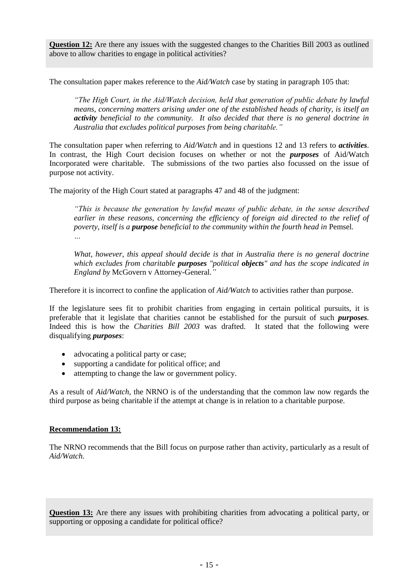**Question 12:** Are there any issues with the suggested changes to the Charities Bill 2003 as outlined above to allow charities to engage in political activities?

The consultation paper makes reference to the *Aid/Watch* case by stating in paragraph 105 that:

*"The High Court, in the Aid/Watch decision, held that generation of public debate by lawful means, concerning matters arising under one of the established heads of charity, is itself an activity beneficial to the community. It also decided that there is no general doctrine in Australia that excludes political purposes from being charitable."* 

The consultation paper when referring to *Aid/Watch* and in questions 12 and 13 refers to *activities*. In contrast, the High Court decision focuses on whether or not the *purposes* of Aid/Watch Incorporated were charitable. The submissions of the two parties also focussed on the issue of purpose not activity.

The majority of the High Court stated at paragraphs 47 and 48 of the judgment:

*"This is because the generation by lawful means of public debate, in the sense described earlier in these reasons, concerning the efficiency of foreign aid directed to the relief of poverty, itself is a purpose beneficial to the community within the fourth head in* Pemsel*. …* 

*What, however, this appeal should decide is that in Australia there is no general doctrine which excludes from charitable purposes "political objects" and has the scope indicated in England by* McGovern v Attorney-General.*"*

Therefore it is incorrect to confine the application of *Aid/Watch* to activities rather than purpose.

If the legislature sees fit to prohibit charities from engaging in certain political pursuits, it is preferable that it legislate that charities cannot be established for the pursuit of such *purposes.*  Indeed this is how the *Charities Bill 2003* was drafted. It stated that the following were disqualifying *purposes*:

- advocating a political party or case;
- supporting a candidate for political office; and
- attempting to change the law or government policy.

As a result of *Aid/Watch,* the NRNO is of the understanding that the common law now regards the third purpose as being charitable if the attempt at change is in relation to a charitable purpose.

#### **Recommendation 13:**

The NRNO recommends that the Bill focus on purpose rather than activity, particularly as a result of *Aid/Watch.*

**Question 13:** Are there any issues with prohibiting charities from advocating a political party, or supporting or opposing a candidate for political office?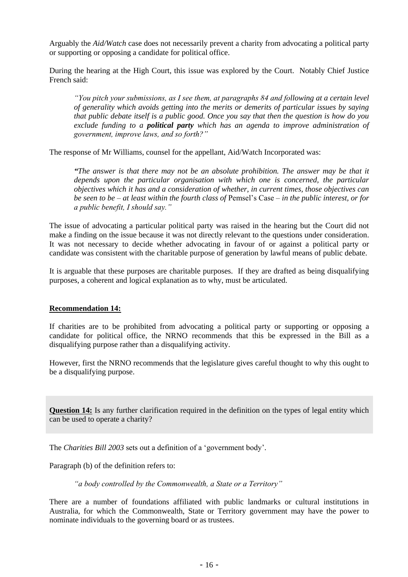Arguably the *Aid/Watch* case does not necessarily prevent a charity from advocating a political party or supporting or opposing a candidate for political office.

During the hearing at the High Court, this issue was explored by the Court. Notably Chief Justice French said:

*"You pitch your submissions, as I see them, at paragraphs 84 and following at a certain level of generality which avoids getting into the merits or demerits of particular issues by saying that public debate itself is a public good. Once you say that then the question is how do you exclude funding to a political party which has an agenda to improve administration of government, improve laws, and so forth?"* 

The response of Mr Williams, counsel for the appellant, Aid/Watch Incorporated was:

*"The answer is that there may not be an absolute prohibition. The answer may be that it*  depends upon the particular organisation with which one is concerned, the particular *objectives which it has and a consideration of whether, in current times, those objectives can be seen to be – at least within the fourth class of* Pemsel's Case *– in the public interest, or for a public benefit, I should say."*

The issue of advocating a particular political party was raised in the hearing but the Court did not make a finding on the issue because it was not directly relevant to the questions under consideration. It was not necessary to decide whether advocating in favour of or against a political party or candidate was consistent with the charitable purpose of generation by lawful means of public debate.

It is arguable that these purposes are charitable purposes. If they are drafted as being disqualifying purposes, a coherent and logical explanation as to why, must be articulated.

## **Recommendation 14:**

If charities are to be prohibited from advocating a political party or supporting or opposing a candidate for political office, the NRNO recommends that this be expressed in the Bill as a disqualifying purpose rather than a disqualifying activity.

However, first the NRNO recommends that the legislature gives careful thought to why this ought to be a disqualifying purpose.

**Question 14:** Is any further clarification required in the definition on the types of legal entity which can be used to operate a charity?

The *Charities Bill 2003* sets out a definition of a 'government body'.

Paragraph (b) of the definition refers to:

*"a body controlled by the Commonwealth, a State or a Territory"*

There are a number of foundations affiliated with public landmarks or cultural institutions in Australia, for which the Commonwealth, State or Territory government may have the power to nominate individuals to the governing board or as trustees.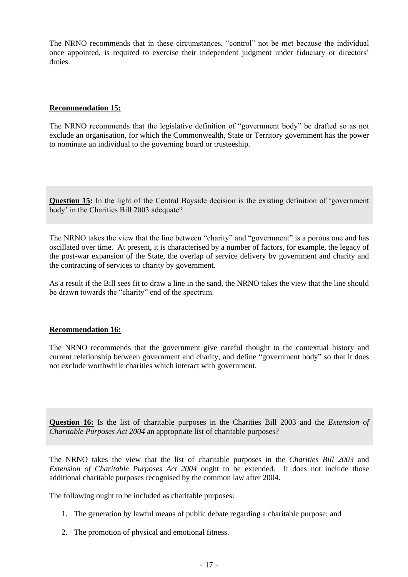The NRNO recommends that in these circumstances, "control" not be met because the individual once appointed, is required to exercise their independent judgment under fiduciary or directors' duties.

## **Recommendation 15:**

The NRNO recommends that the legislative definition of "government body" be drafted so as not exclude an organisation, for which the Commonwealth, State or Territory government has the power to nominate an individual to the governing board or trusteeship.

**Question 15:** In the light of the Central Bayside decision is the existing definition of 'government body' in the Charities Bill 2003 adequate?

The NRNO takes the view that the line between "charity" and "government" is a porous one and has oscillated over time. At present, it is characterised by a number of factors, for example, the legacy of the post-war expansion of the State, the overlap of service delivery by government and charity and the contracting of services to charity by government.

As a result if the Bill sees fit to draw a line in the sand, the NRNO takes the view that the line should be drawn towards the "charity" end of the spectrum.

## **Recommendation 16:**

The NRNO recommends that the government give careful thought to the contextual history and current relationship between government and charity, and define "government body" so that it does not exclude worthwhile charities which interact with government.

**Question 16:** Is the list of charitable purposes in the Charities Bill 2003 and the *Extension of Charitable Purposes Act 2004* an appropriate list of charitable purposes?

The NRNO takes the view that the list of charitable purposes in the *Charities Bill 2003* and *Extension of Charitable Purposes Act 2004* ought to be extended. It does not include those additional charitable purposes recognised by the common law after 2004.

The following ought to be included as charitable purposes:

- 1. The generation by lawful means of public debate regarding a charitable purpose; and
- 2. The promotion of physical and emotional fitness.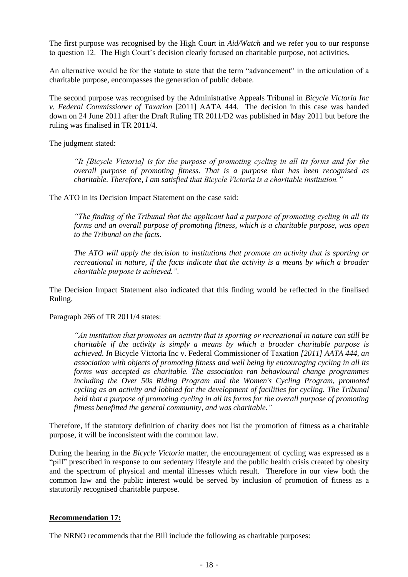The first purpose was recognised by the High Court in *Aid/Watch* and we refer you to our response to question 12. The High Court's decision clearly focused on charitable purpose, not activities.

An alternative would be for the statute to state that the term "advancement" in the articulation of a charitable purpose, encompasses the generation of public debate.

The second purpose was recognised by the Administrative Appeals Tribunal in *Bicycle Victoria Inc v. Federal Commissioner of Taxation* [2011] AATA 444. The decision in this case was handed down on 24 June 2011 after the Draft Ruling TR 2011/D2 was published in May 2011 but before the ruling was finalised in TR 2011/4.

The judgment stated:

*"It [Bicycle Victoria] is for the purpose of promoting cycling in all its forms and for the overall purpose of promoting fitness. That is a purpose that has been recognised as charitable. Therefore, I am satisfied that Bicycle Victoria is a charitable institution."*

The ATO in its Decision Impact Statement on the case said:

*"The finding of the Tribunal that the applicant had a purpose of promoting cycling in all its forms and an overall purpose of promoting fitness, which is a charitable purpose, was open to the Tribunal on the facts.* 

*The ATO will apply the decision to institutions that promote an activity that is sporting or recreational in nature, if the facts indicate that the activity is a means by which a broader charitable purpose is achieved.".*

The Decision Impact Statement also indicated that this finding would be reflected in the finalised Ruling.

Paragraph 266 of TR 2011/4 states:

*"An institution that promotes an activity that is sporting or recreational in nature can still be charitable if the activity is simply a means by which a broader charitable purpose is achieved. In* Bicycle Victoria Inc v. Federal Commissioner of Taxation *[2011] AATA 444, an association with objects of promoting fitness and well being by encouraging cycling in all its forms was accepted as charitable. The association ran behavioural change programmes including the Over 50s Riding Program and the Women's Cycling Program, promoted cycling as an activity and lobbied for the development of facilities for cycling. The Tribunal held that a purpose of promoting cycling in all its forms for the overall purpose of promoting fitness benefitted the general community, and was charitable."*

Therefore, if the statutory definition of charity does not list the promotion of fitness as a charitable purpose, it will be inconsistent with the common law.

During the hearing in the *Bicycle Victoria* matter, the encouragement of cycling was expressed as a "pill" prescribed in response to our sedentary lifestyle and the public health crisis created by obesity and the spectrum of physical and mental illnesses which result. Therefore in our view both the common law and the public interest would be served by inclusion of promotion of fitness as a statutorily recognised charitable purpose.

## **Recommendation 17:**

The NRNO recommends that the Bill include the following as charitable purposes: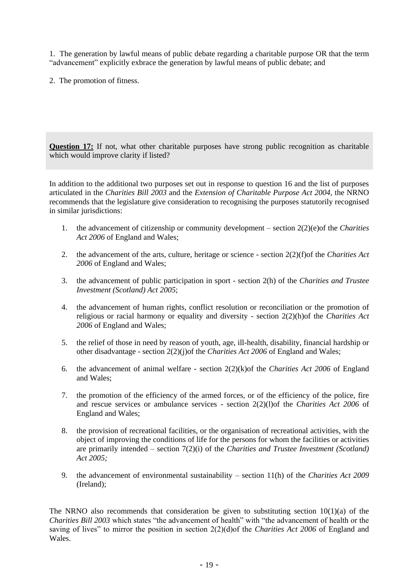1. The generation by lawful means of public debate regarding a charitable purpose OR that the term "advancement" explicitly exbrace the generation by lawful means of public debate; and

2. The promotion of fitness.

**Question 17:** If not, what other charitable purposes have strong public recognition as charitable which would improve clarity if listed?

In addition to the additional two purposes set out in response to question 16 and the list of purposes articulated in the *Charities Bill 2003* and the *Extension of Charitable Purpose Act 2004,* the NRNO recommends that the legislature give consideration to recognising the purposes statutorily recognised in similar jurisdictions:

- 1. the advancement of citizenship or community development section 2(2)(e)of the *Charities Act 2006* of England and Wales;
- 2. the advancement of the arts, culture, heritage or science section 2(2)(f)of the *Charities Act 2006* of England and Wales;
- 3. the advancement of public participation in sport section 2(h) of the *Charities and Trustee Investment (Scotland) Act 2005*;
- 4. the advancement of human rights, conflict resolution or reconciliation or the promotion of religious or racial harmony or equality and diversity - section 2(2)(h)of the *Charities Act 2006* of England and Wales;
- 5. the relief of those in need by reason of youth, age, ill-health, disability, financial hardship or other disadvantage - section 2(2)(j)of the *Charities Act 2006* of England and Wales;
- 6. the advancement of animal welfare section 2(2)(k)of the *Charities Act 2006* of England and Wales;
- 7. the promotion of the efficiency of the armed forces, or of the efficiency of the police, fire and rescue services or ambulance services - section 2(2)(l)of the *Charities Act 2006* of England and Wales;
- 8. the provision of recreational facilities, or the organisation of recreational activities, with the object of improving the conditions of life for the persons for whom the facilities or activities are primarily intended – section 7(2)(i) of the *Charities and Trustee Investment (Scotland) Act 2005;*
- 9. the advancement of environmental sustainability section 11(h) of the *Charities Act 2009* (Ireland);

The NRNO also recommends that consideration be given to substituting section  $10(1)(a)$  of the *Charities Bill 2003* which states "the advancement of health" with "the advancement of health or the saving of lives" to mirror the position in section 2(2)(d)of the *Charities Act 2006* of England and Wales.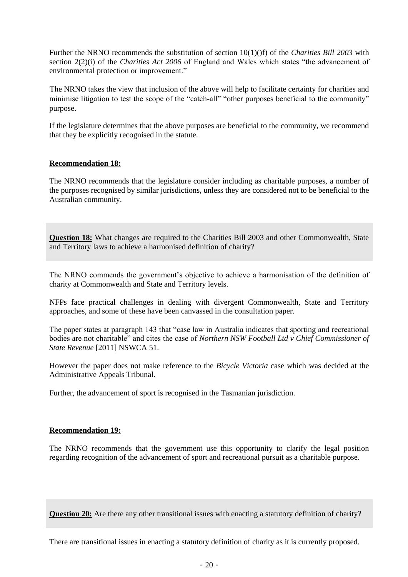Further the NRNO recommends the substitution of section 10(1)(f) of the *Charities Bill 2003* with section 2(2)(i) of the *Charities Act 2006* of England and Wales which states "the advancement of environmental protection or improvement."

The NRNO takes the view that inclusion of the above will help to facilitate certainty for charities and minimise litigation to test the scope of the "catch-all" "other purposes beneficial to the community" purpose.

If the legislature determines that the above purposes are beneficial to the community, we recommend that they be explicitly recognised in the statute.

## **Recommendation 18:**

The NRNO recommends that the legislature consider including as charitable purposes, a number of the purposes recognised by similar jurisdictions, unless they are considered not to be beneficial to the Australian community.

**Question 18:** What changes are required to the Charities Bill 2003 and other Commonwealth, State and Territory laws to achieve a harmonised definition of charity?

The NRNO commends the government's objective to achieve a harmonisation of the definition of charity at Commonwealth and State and Territory levels.

NFPs face practical challenges in dealing with divergent Commonwealth, State and Territory approaches, and some of these have been canvassed in the consultation paper.

The paper states at paragraph 143 that "case law in Australia indicates that sporting and recreational bodies are not charitable" and cites the case of *Northern NSW Football Ltd v Chief Commissioner of State Revenue* [2011] NSWCA 51.

However the paper does not make reference to the *Bicycle Victoria* case which was decided at the Administrative Appeals Tribunal.

Further, the advancement of sport is recognised in the Tasmanian jurisdiction.

#### **Recommendation 19:**

The NRNO recommends that the government use this opportunity to clarify the legal position regarding recognition of the advancement of sport and recreational pursuit as a charitable purpose.

**Question 20:** Are there any other transitional issues with enacting a statutory definition of charity?

There are transitional issues in enacting a statutory definition of charity as it is currently proposed.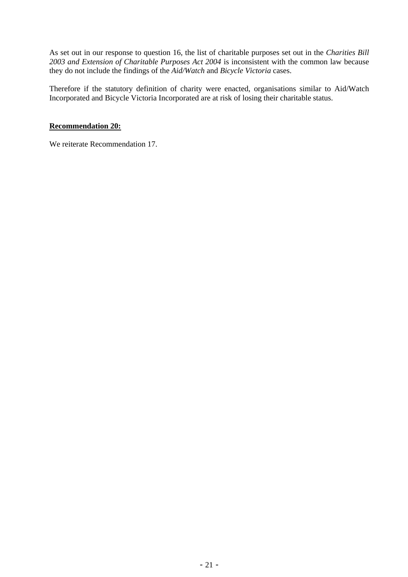As set out in our response to question 16, the list of charitable purposes set out in the *Charities Bill 2003 and Extension of Charitable Purposes Act 2004* is inconsistent with the common law because they do not include the findings of the *Aid/Watch* and *Bicycle Victoria* cases.

Therefore if the statutory definition of charity were enacted, organisations similar to Aid/Watch Incorporated and Bicycle Victoria Incorporated are at risk of losing their charitable status.

# **Recommendation 20:**

We reiterate Recommendation 17.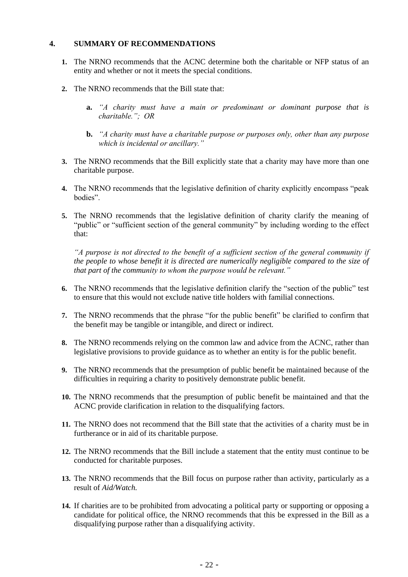## **4. SUMMARY OF RECOMMENDATIONS**

- **1.** The NRNO recommends that the ACNC determine both the charitable or NFP status of an entity and whether or not it meets the special conditions.
- **2.** The NRNO recommends that the Bill state that:
	- **a.** *"A charity must have a main or predominant or dominant purpose that is charitable."; OR*
	- **b.** *"A charity must have a charitable purpose or purposes only, other than any purpose which is incidental or ancillary."*
- **3.** The NRNO recommends that the Bill explicitly state that a charity may have more than one charitable purpose.
- **4.** The NRNO recommends that the legislative definition of charity explicitly encompass "peak bodies".
- **5.** The NRNO recommends that the legislative definition of charity clarify the meaning of "public" or "sufficient section of the general community" by including wording to the effect that:

*"A purpose is not directed to the benefit of a sufficient section of the general community if the people to whose benefit it is directed are numerically negligible compared to the size of that part of the community to whom the purpose would be relevant."*

- **6.** The NRNO recommends that the legislative definition clarify the "section of the public" test to ensure that this would not exclude native title holders with familial connections.
- **7.** The NRNO recommends that the phrase "for the public benefit" be clarified to confirm that the benefit may be tangible or intangible, and direct or indirect.
- **8.** The NRNO recommends relying on the common law and advice from the ACNC, rather than legislative provisions to provide guidance as to whether an entity is for the public benefit.
- **9.** The NRNO recommends that the presumption of public benefit be maintained because of the difficulties in requiring a charity to positively demonstrate public benefit.
- **10.** The NRNO recommends that the presumption of public benefit be maintained and that the ACNC provide clarification in relation to the disqualifying factors.
- **11.** The NRNO does not recommend that the Bill state that the activities of a charity must be in furtherance or in aid of its charitable purpose.
- **12.** The NRNO recommends that the Bill include a statement that the entity must continue to be conducted for charitable purposes.
- **13.** The NRNO recommends that the Bill focus on purpose rather than activity, particularly as a result of *Aid/Watch.*
- **14.** If charities are to be prohibited from advocating a political party or supporting or opposing a candidate for political office, the NRNO recommends that this be expressed in the Bill as a disqualifying purpose rather than a disqualifying activity.